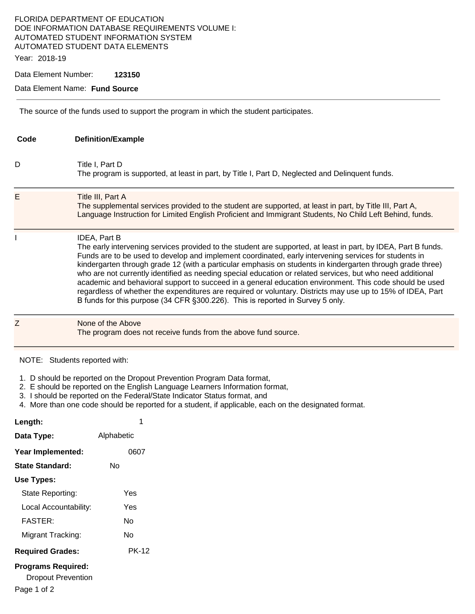# FLORIDA DEPARTMENT OF EDUCATION DOE INFORMATION DATABASE REQUIREMENTS VOLUME I: AUTOMATED STUDENT INFORMATION SYSTEM AUTOMATED STUDENT DATA ELEMENTS

Year: 2018-19

Data Element Number: **123150** 

#### Data Element Name: **Fund Source**

The source of the funds used to support the program in which the student participates.

| Code | <b>Definition/Example</b>                                                                                                                                                                                                                                                                                                                                                                                                                                                                                                                                                                                                                                                                                                                                                       |
|------|---------------------------------------------------------------------------------------------------------------------------------------------------------------------------------------------------------------------------------------------------------------------------------------------------------------------------------------------------------------------------------------------------------------------------------------------------------------------------------------------------------------------------------------------------------------------------------------------------------------------------------------------------------------------------------------------------------------------------------------------------------------------------------|
| D    | Title I, Part D<br>The program is supported, at least in part, by Title I, Part D, Neglected and Delinquent funds.                                                                                                                                                                                                                                                                                                                                                                                                                                                                                                                                                                                                                                                              |
| E    | Title III, Part A<br>The supplemental services provided to the student are supported, at least in part, by Title III, Part A,<br>Language Instruction for Limited English Proficient and Immigrant Students, No Child Left Behind, funds.                                                                                                                                                                                                                                                                                                                                                                                                                                                                                                                                       |
|      | IDEA, Part B<br>The early intervening services provided to the student are supported, at least in part, by IDEA, Part B funds.<br>Funds are to be used to develop and implement coordinated, early intervening services for students in<br>kindergarten through grade 12 (with a particular emphasis on students in kindergarten through grade three)<br>who are not currently identified as needing special education or related services, but who need additional<br>academic and behavioral support to succeed in a general education environment. This code should be used<br>regardless of whether the expenditures are required or voluntary. Districts may use up to 15% of IDEA, Part<br>B funds for this purpose (34 CFR §300.226). This is reported in Survey 5 only. |
|      | None of the Above<br>The program does not receive funds from the above fund source.                                                                                                                                                                                                                                                                                                                                                                                                                                                                                                                                                                                                                                                                                             |

NOTE: Students reported with:

- 1. D should be reported on the Dropout Prevention Program Data format,
- 2. E should be reported on the English Language Learners Information format,
- 3. I should be reported on the Federal/State Indicator Status format, and
- 4. More than one code should be reported for a student, if applicable, each on the designated format.

| Length:                                                | 1          |
|--------------------------------------------------------|------------|
| Data Type:                                             | Alphabetic |
| Year Implemented:                                      | 0607       |
| State Standard:                                        | N٥         |
| Use Types:                                             |            |
| State Reporting:                                       | Yes        |
| Local Accountability:                                  | Yes        |
| FASTER:                                                | N٥         |
| Migrant Tracking:                                      | N٥         |
| <b>Required Grades:</b>                                | PK-12      |
| <b>Programs Required:</b><br><b>Dropout Prevention</b> |            |